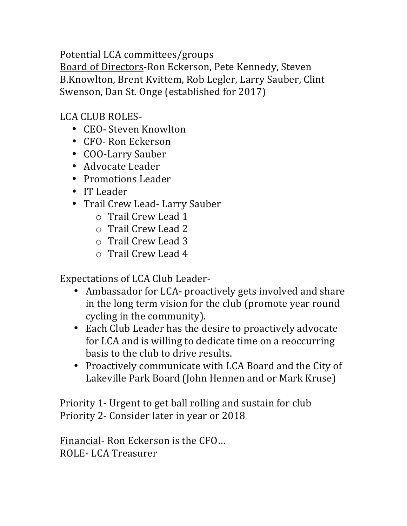Potential LCA committees/groups Board of Directors-Ron Eckerson, Pete Kennedy, Steven B.Knowlton, Brent Kvittem, Rob Legler, Larry Sauber, Clint Swenson, Dan St. Onge (established for 2017)

LCA CLUB ROLES-

- CEO- Steven Knowlton
- CFO- Ron Eckerson
- COO-Larry Sauber
- Advocate Leader
- Promotions Leader
- IT Leader
- Trail Crew Lead- Larry Sauber
	- o Trail Crew Lead 1
	- o Trail Crew Lead 2
	- o Trail Crew Lead 3
	- o Trail Crew Lead 4

Expectations of LCA Club Leader-

- Ambassador for LCA- proactively gets involved and share in the long term vision for the club (promote year round cycling in the community).
- Each Club Leader has the desire to proactively advocate for LCA and is willing to dedicate time on a reoccurring basis to the club to drive results.
- Proactively communicate with LCA Board and the City of Lakeville Park Board (John Hennen and or Mark Kruse)

Priority 1- Urgent to get ball rolling and sustain for club Priority 2- Consider later in year or 2018

Financial- Ron Eckerson is the CFO... ROLE- LCA Treasurer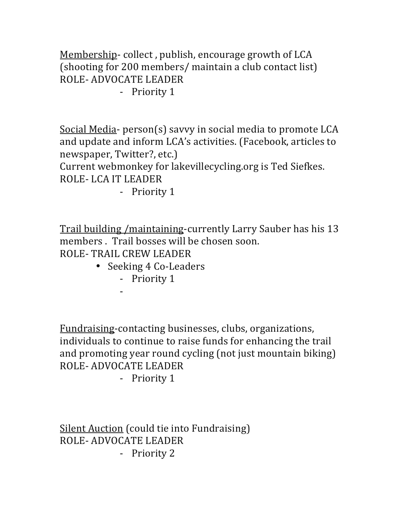Membership- collect, publish, encourage growth of LCA (shooting for 200 members/ maintain a club contact list) ROLE- ADVOCATE LEADER

- Priority 1

Social Media- $person(s)$  savvy in social media to promote LCA and update and inform LCA's activities. (Facebook, articles to newspaper, Twitter?, etc.)

Current webmonkey for lakevillecycling.org is Ted Siefkes. ROLE- LCA IT LEADER

- Priority 1

Trail building /maintaining-currently Larry Sauber has his 13 members . Trail bosses will be chosen soon. ROLE- TRAIL CREW LEADER

- Seeking 4 Co-Leaders
	- Priority 1

-

Fundraising-contacting businesses, clubs, organizations, individuals to continue to raise funds for enhancing the trail and promoting year round cycling (not just mountain biking) ROLE- ADVOCATE LEADER

- Priority 1

Silent Auction (could tie into Fundraising) ROLE- ADVOCATE LEADER - Priority 2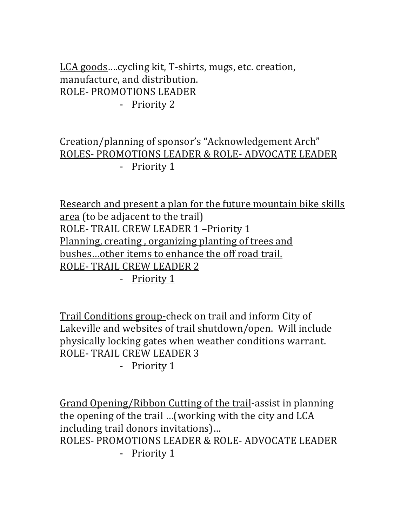LCA goods....cycling kit, T-shirts, mugs, etc. creation, manufacture, and distribution. ROLE- PROMOTIONS LEADER - Priority 2

## Creation/planning of sponsor's "Acknowledgement Arch" ROLES- PROMOTIONS LEADER & ROLE- ADVOCATE LEADER - Priority 1

Research and present a plan for the future mountain bike skills area (to be adiacent to the trail) ROLE- TRAIL CREW LEADER 1 - Priority 1 Planning, creating, organizing planting of trees and bushes...other items to enhance the off road trail. ROLE- TRAIL CREW LEADER 2

- <u>Priority 1</u>

Trail Conditions group-check on trail and inform City of Lakeville and websites of trail shutdown/open. Will include physically locking gates when weather conditions warrant. ROLE- TRAIL CREW LEADER 3

- Priority 1

Grand Opening/Ribbon Cutting of the trail-assist in planning the opening of the trail …(working with the city and LCA including trail donors invitations)... ROLES- PROMOTIONS LEADER & ROLE- ADVOCATE LEADER - Priority 1